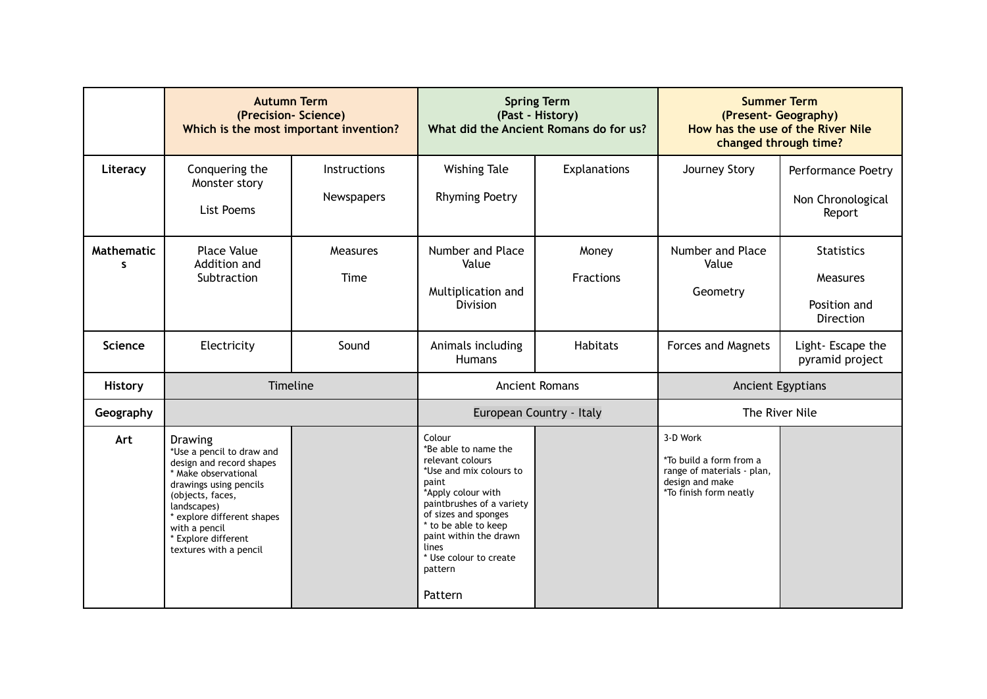|                                   | <b>Autumn Term</b><br>(Precision-Science)<br>Which is the most important invention?                                                                                                                                                                          |                            | <b>Spring Term</b><br>(Past - History)<br>What did the Ancient Romans do for us?                                                                                                                                                                                                    |                           | <b>Summer Term</b><br>(Present- Geography)<br>How has the use of the River Nile<br>changed through time?       |                                                                   |
|-----------------------------------|--------------------------------------------------------------------------------------------------------------------------------------------------------------------------------------------------------------------------------------------------------------|----------------------------|-------------------------------------------------------------------------------------------------------------------------------------------------------------------------------------------------------------------------------------------------------------------------------------|---------------------------|----------------------------------------------------------------------------------------------------------------|-------------------------------------------------------------------|
| Literacy                          | Conquering the<br>Monster story<br>List Poems                                                                                                                                                                                                                | Instructions<br>Newspapers | <b>Wishing Tale</b><br><b>Rhyming Poetry</b>                                                                                                                                                                                                                                        | Explanations              | Journey Story                                                                                                  | Performance Poetry<br>Non Chronological<br>Report                 |
| <b>Mathematic</b><br>$\mathbf{s}$ | <b>Place Value</b><br>Addition and<br>Subtraction                                                                                                                                                                                                            | <b>Measures</b><br>Time    | Number and Place<br>Value<br>Multiplication and<br><b>Division</b>                                                                                                                                                                                                                  | Money<br><b>Fractions</b> | Number and Place<br>Value<br>Geometry                                                                          | <b>Statistics</b><br>Measures<br>Position and<br><b>Direction</b> |
| Science                           | Electricity                                                                                                                                                                                                                                                  | Sound                      | Animals including<br><b>Humans</b>                                                                                                                                                                                                                                                  | <b>Habitats</b>           | <b>Forces and Magnets</b>                                                                                      | Light-Escape the<br>pyramid project                               |
| <b>History</b>                    | Timeline                                                                                                                                                                                                                                                     |                            | <b>Ancient Romans</b>                                                                                                                                                                                                                                                               |                           | Ancient Egyptians                                                                                              |                                                                   |
| Geography                         |                                                                                                                                                                                                                                                              |                            | European Country - Italy                                                                                                                                                                                                                                                            |                           | The River Nile                                                                                                 |                                                                   |
| Art                               | <b>Drawing</b><br>*Use a pencil to draw and<br>design and record shapes<br>* Make observational<br>drawings using pencils<br>(objects, faces,<br>landscapes)<br>* explore different shapes<br>with a pencil<br>* Explore different<br>textures with a pencil |                            | Colour<br>*Be able to name the<br>relevant colours<br>*Use and mix colours to<br>paint<br>*Apply colour with<br>paintbrushes of a variety<br>of sizes and sponges<br>* to be able to keep<br>paint within the drawn<br><b>lines</b><br>* Use colour to create<br>pattern<br>Pattern |                           | 3-D Work<br>*To build a form from a<br>range of materials - plan,<br>design and make<br>*To finish form neatly |                                                                   |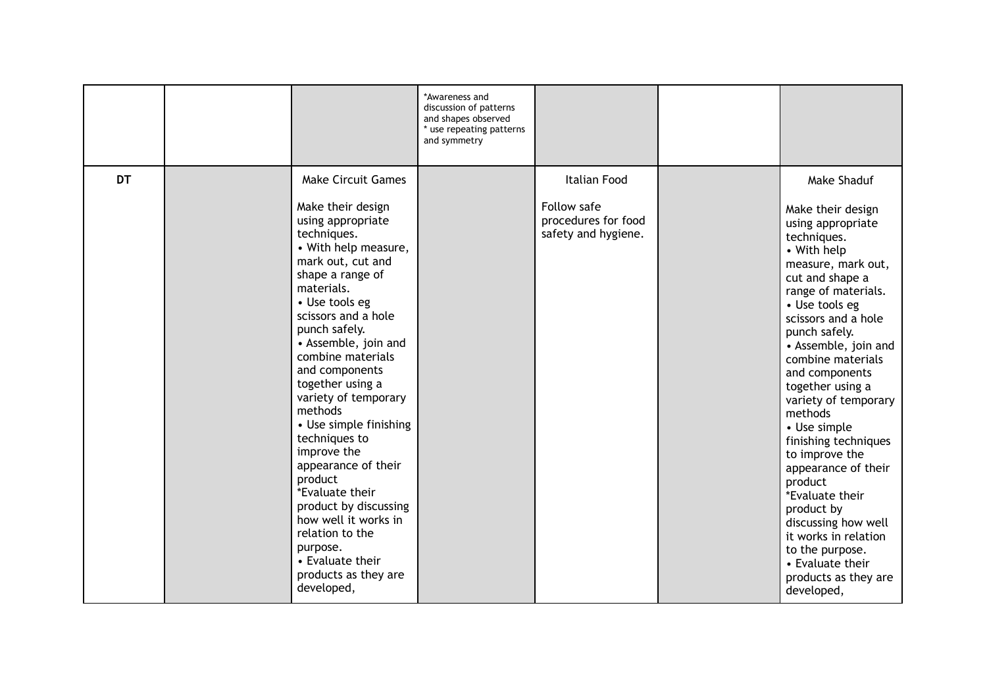|           |                                                                                                                                                                                                                                                                                                                                                                                                                                                                                                                                                                                                            | *Awareness and<br>discussion of patterns<br>and shapes observed<br>* use repeating patterns<br>and symmetry |                                                                           |                                                                                                                                                                                                                                                                                                                                                                                                                                                                                                                                                                                              |
|-----------|------------------------------------------------------------------------------------------------------------------------------------------------------------------------------------------------------------------------------------------------------------------------------------------------------------------------------------------------------------------------------------------------------------------------------------------------------------------------------------------------------------------------------------------------------------------------------------------------------------|-------------------------------------------------------------------------------------------------------------|---------------------------------------------------------------------------|----------------------------------------------------------------------------------------------------------------------------------------------------------------------------------------------------------------------------------------------------------------------------------------------------------------------------------------------------------------------------------------------------------------------------------------------------------------------------------------------------------------------------------------------------------------------------------------------|
| <b>DT</b> | <b>Make Circuit Games</b><br>Make their design<br>using appropriate<br>techniques.<br>• With help measure,<br>mark out, cut and<br>shape a range of<br>materials.<br>• Use tools eg<br>scissors and a hole<br>punch safely.<br>• Assemble, join and<br>combine materials<br>and components<br>together using a<br>variety of temporary<br>methods<br>• Use simple finishing<br>techniques to<br>improve the<br>appearance of their<br>product<br>*Evaluate their<br>product by discussing<br>how well it works in<br>relation to the<br>purpose.<br>• Evaluate their<br>products as they are<br>developed, |                                                                                                             | Italian Food<br>Follow safe<br>procedures for food<br>safety and hygiene. | Make Shaduf<br>Make their design<br>using appropriate<br>techniques.<br>• With help<br>measure, mark out,<br>cut and shape a<br>range of materials.<br>• Use tools eg<br>scissors and a hole<br>punch safely.<br>• Assemble, join and<br>combine materials<br>and components<br>together using a<br>variety of temporary<br>methods<br>• Use simple<br>finishing techniques<br>to improve the<br>appearance of their<br>product<br>*Evaluate their<br>product by<br>discussing how well<br>it works in relation<br>to the purpose.<br>• Evaluate their<br>products as they are<br>developed, |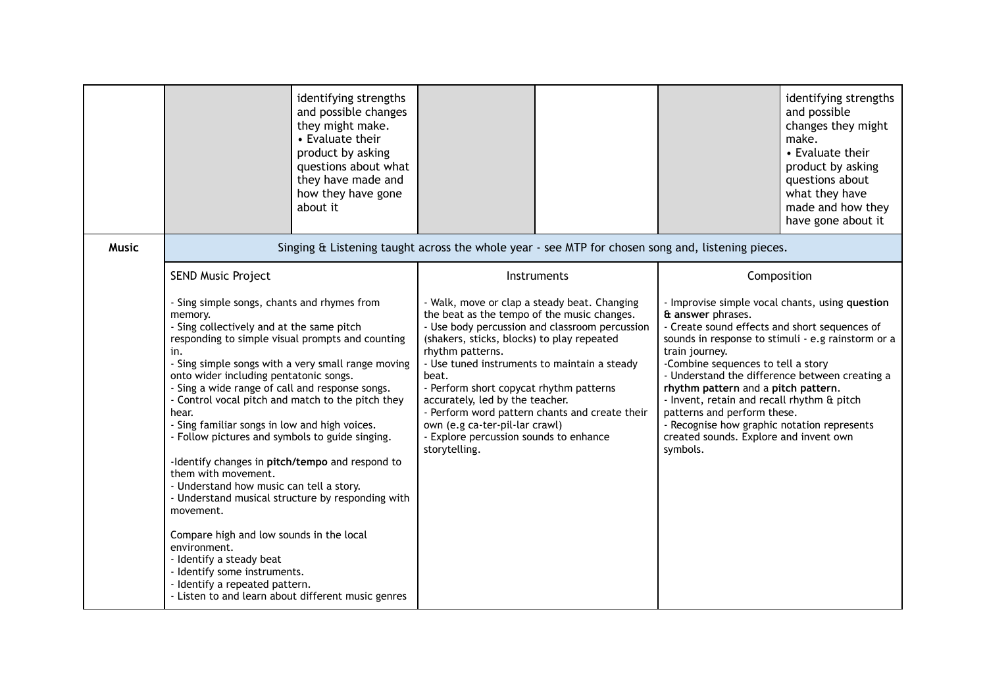|              |                                                                                                                                                                                                                                                                                                                                                                                                                                                                                                                                                                                                                                                                                                                                                                                                                                                                                             | identifying strengths<br>and possible changes<br>they might make.<br>• Evaluate their<br>product by asking<br>questions about what<br>they have made and<br>how they have gone<br>about it |                                                                                                                                                                                                                                                                                                                                                                                                                                                                                                       |  |                                                                                                                                                                                                                                                                                                                                                                                                                                                                                                                | identifying strengths<br>and possible<br>changes they might<br>make.<br>• Evaluate their<br>product by asking<br>questions about<br>what they have<br>made and how they<br>have gone about it |
|--------------|---------------------------------------------------------------------------------------------------------------------------------------------------------------------------------------------------------------------------------------------------------------------------------------------------------------------------------------------------------------------------------------------------------------------------------------------------------------------------------------------------------------------------------------------------------------------------------------------------------------------------------------------------------------------------------------------------------------------------------------------------------------------------------------------------------------------------------------------------------------------------------------------|--------------------------------------------------------------------------------------------------------------------------------------------------------------------------------------------|-------------------------------------------------------------------------------------------------------------------------------------------------------------------------------------------------------------------------------------------------------------------------------------------------------------------------------------------------------------------------------------------------------------------------------------------------------------------------------------------------------|--|----------------------------------------------------------------------------------------------------------------------------------------------------------------------------------------------------------------------------------------------------------------------------------------------------------------------------------------------------------------------------------------------------------------------------------------------------------------------------------------------------------------|-----------------------------------------------------------------------------------------------------------------------------------------------------------------------------------------------|
| <b>Music</b> | Singing & Listening taught across the whole year - see MTP for chosen song and, listening pieces.                                                                                                                                                                                                                                                                                                                                                                                                                                                                                                                                                                                                                                                                                                                                                                                           |                                                                                                                                                                                            |                                                                                                                                                                                                                                                                                                                                                                                                                                                                                                       |  |                                                                                                                                                                                                                                                                                                                                                                                                                                                                                                                |                                                                                                                                                                                               |
|              | <b>SEND Music Project</b>                                                                                                                                                                                                                                                                                                                                                                                                                                                                                                                                                                                                                                                                                                                                                                                                                                                                   |                                                                                                                                                                                            | Instruments                                                                                                                                                                                                                                                                                                                                                                                                                                                                                           |  | Composition                                                                                                                                                                                                                                                                                                                                                                                                                                                                                                    |                                                                                                                                                                                               |
|              | - Sing simple songs, chants and rhymes from<br>memory.<br>- Sing collectively and at the same pitch<br>responding to simple visual prompts and counting<br>in.<br>- Sing simple songs with a very small range moving<br>onto wider including pentatonic songs.<br>- Sing a wide range of call and response songs.<br>- Control vocal pitch and match to the pitch they<br>hear.<br>- Sing familiar songs in low and high voices.<br>- Follow pictures and symbols to guide singing.<br>-Identify changes in pitch/tempo and respond to<br>them with movement.<br>- Understand how music can tell a story.<br>- Understand musical structure by responding with<br>movement.<br>Compare high and low sounds in the local<br>environment.<br>- Identify a steady beat<br>- Identify some instruments.<br>- Identify a repeated pattern.<br>- Listen to and learn about different music genres |                                                                                                                                                                                            | - Walk, move or clap a steady beat. Changing<br>the beat as the tempo of the music changes.<br>- Use body percussion and classroom percussion<br>(shakers, sticks, blocks) to play repeated<br>rhythm patterns.<br>- Use tuned instruments to maintain a steady<br>beat.<br>- Perform short copycat rhythm patterns<br>accurately, led by the teacher.<br>- Perform word pattern chants and create their<br>own (e.g ca-ter-pil-lar crawl)<br>- Explore percussion sounds to enhance<br>storytelling. |  | - Improvise simple vocal chants, using question<br>& answer phrases.<br>- Create sound effects and short sequences of<br>sounds in response to stimuli - e.g rainstorm or a<br>train journey.<br>-Combine sequences to tell a story<br>- Understand the difference between creating a<br>rhythm pattern and a pitch pattern.<br>- Invent, retain and recall rhythm & pitch<br>patterns and perform these.<br>- Recognise how graphic notation represents<br>created sounds. Explore and invent own<br>symbols. |                                                                                                                                                                                               |